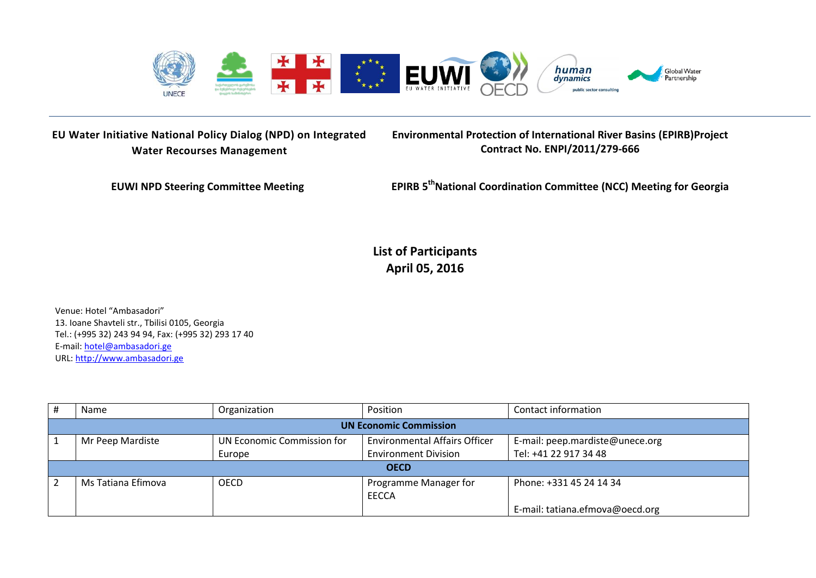

**EU Water Initiative National Policy Dialog (NPD) on Integrated Water Recourses Management**

**Environmental Protection of International River Basins (EPIRB)Project Contract No. ENPI/2011/279-666**

**EUWI NPD Steering Committee Meeting** 

**thNational Coordination Committee (NCC) Meeting for Georgia**

**List of Participants April 05, 2016**

Venue: Hotel "Ambasadori" 13. Ioane Shavteli str., Tbilisi 0105, Georgia Tel.: (+995 32) 243 94 94, Fax: (+995 32) 293 17 40 E-mail: [hotel@ambasadori.ge](mailto:hotel@ambasadori.ge) URL: [http://www.ambasadori.ge](http://www.ambasadori.ge/)

|                               | Name               | Organization               | Position                             | Contact information             |  |
|-------------------------------|--------------------|----------------------------|--------------------------------------|---------------------------------|--|
| <b>UN Economic Commission</b> |                    |                            |                                      |                                 |  |
|                               | Mr Peep Mardiste   | UN Economic Commission for | <b>Environmental Affairs Officer</b> | E-mail: peep.mardiste@unece.org |  |
|                               |                    | Europe                     | <b>Environment Division</b>          | Tel: +41 22 917 34 48           |  |
| <b>OECD</b>                   |                    |                            |                                      |                                 |  |
|                               | Ms Tatiana Efimova | <b>OECD</b>                | Programme Manager for                | Phone: +331 45 24 14 34         |  |
|                               |                    |                            | EECCA                                |                                 |  |
|                               |                    |                            |                                      | E-mail: tatiana.efmova@oecd.org |  |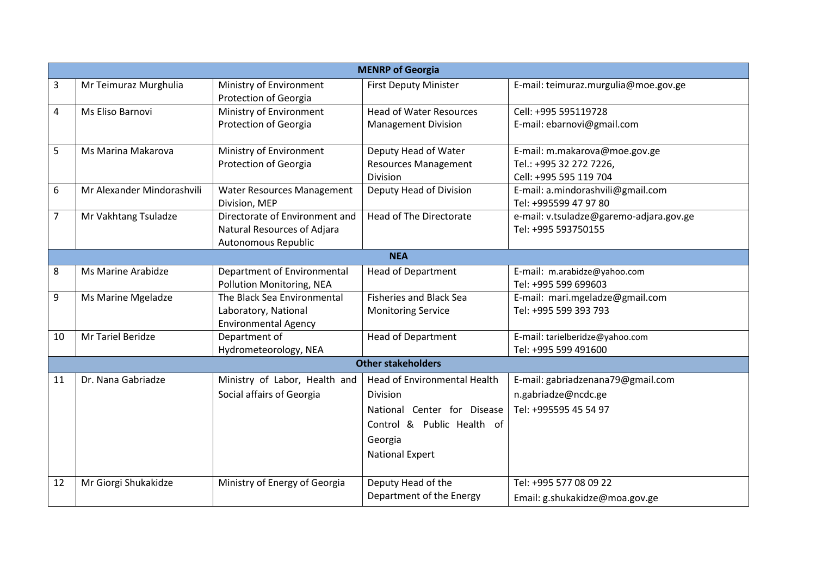|                | <b>MENRP of Georgia</b>    |                                                  |                                |                                         |  |  |
|----------------|----------------------------|--------------------------------------------------|--------------------------------|-----------------------------------------|--|--|
| 3              | Mr Teimuraz Murghulia      | Ministry of Environment<br>Protection of Georgia | <b>First Deputy Minister</b>   | E-mail: teimuraz.murgulia@moe.gov.ge    |  |  |
| $\overline{4}$ | Ms Eliso Barnovi           | Ministry of Environment                          | <b>Head of Water Resources</b> | Cell: +995 595119728                    |  |  |
|                |                            | Protection of Georgia                            | <b>Management Division</b>     | E-mail: ebarnovi@gmail.com              |  |  |
| 5              | Ms Marina Makarova         | Ministry of Environment                          | Deputy Head of Water           | E-mail: m.makarova@moe.gov.ge           |  |  |
|                |                            | Protection of Georgia                            | <b>Resources Management</b>    | Tel.: +995 32 272 7226,                 |  |  |
|                |                            |                                                  | Division                       | Cell: +995 595 119 704                  |  |  |
| 6              | Mr Alexander Mindorashvili | Water Resources Management                       | Deputy Head of Division        | E-mail: a.mindorashvili@gmail.com       |  |  |
|                |                            | Division, MEP                                    |                                | Tel: +995599 47 97 80                   |  |  |
| $\overline{7}$ | Mr Vakhtang Tsuladze       | Directorate of Environment and                   | <b>Head of The Directorate</b> | e-mail: v.tsuladze@garemo-adjara.gov.ge |  |  |
|                |                            | Natural Resources of Adjara                      |                                | Tel: +995 593750155                     |  |  |
|                |                            | Autonomous Republic                              |                                |                                         |  |  |
|                |                            |                                                  | <b>NEA</b>                     |                                         |  |  |
| 8              | Ms Marine Arabidze         | Department of Environmental                      | <b>Head of Department</b>      | E-mail: m.arabidze@yahoo.com            |  |  |
|                |                            | Pollution Monitoring, NEA                        |                                | Tel: +995 599 699603                    |  |  |
| 9              | Ms Marine Mgeladze         | The Black Sea Environmental                      | <b>Fisheries and Black Sea</b> | E-mail: mari.mgeladze@gmail.com         |  |  |
|                |                            | Laboratory, National                             | <b>Monitoring Service</b>      | Tel: +995 599 393 793                   |  |  |
|                |                            | <b>Environmental Agency</b>                      |                                |                                         |  |  |
| 10             | Mr Tariel Beridze          | Department of                                    | <b>Head of Department</b>      | E-mail: tarielberidze@yahoo.com         |  |  |
|                |                            | Hydrometeorology, NEA                            | <b>Other stakeholders</b>      | Tel: +995 599 491600                    |  |  |
|                |                            |                                                  |                                |                                         |  |  |
| 11             | Dr. Nana Gabriadze         | Ministry of Labor, Health and                    | Head of Environmental Health   | E-mail: gabriadzenana79@gmail.com       |  |  |
|                |                            | Social affairs of Georgia                        | Division                       | n.gabriadze@ncdc.ge                     |  |  |
|                |                            |                                                  | National Center for Disease    | Tel: +995595 45 54 97                   |  |  |
|                |                            |                                                  | Control & Public Health of     |                                         |  |  |
|                |                            |                                                  | Georgia                        |                                         |  |  |
|                |                            |                                                  | <b>National Expert</b>         |                                         |  |  |
|                |                            |                                                  |                                |                                         |  |  |
| 12             | Mr Giorgi Shukakidze       | Ministry of Energy of Georgia                    | Deputy Head of the             | Tel: +995 577 08 09 22                  |  |  |
|                |                            |                                                  | Department of the Energy       | Email: g.shukakidze@moa.gov.ge          |  |  |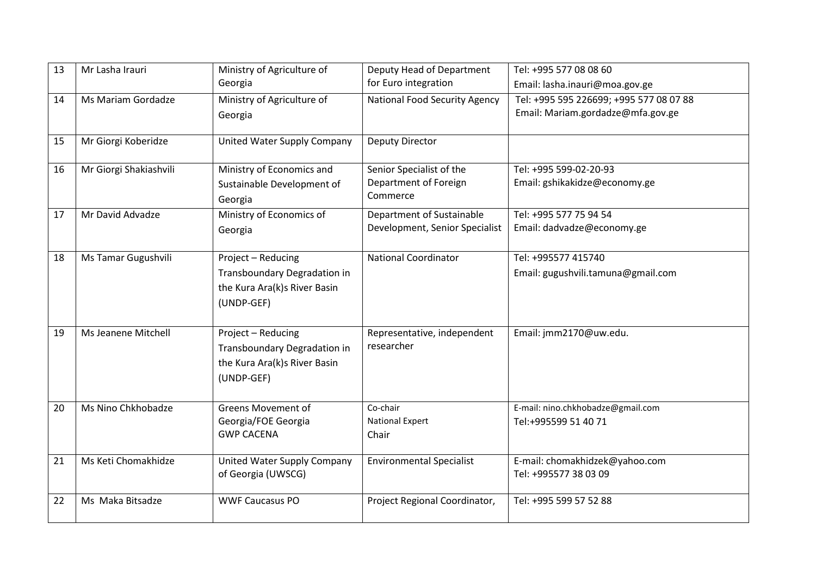| 13 | Mr Lasha Irauri        | Ministry of Agriculture of               | Deputy Head of Department            | Tel: +995 577 08 08 60                  |
|----|------------------------|------------------------------------------|--------------------------------------|-----------------------------------------|
|    |                        | Georgia                                  | for Euro integration                 | Email: lasha.inauri@moa.gov.ge          |
| 14 | Ms Mariam Gordadze     | Ministry of Agriculture of               | <b>National Food Security Agency</b> | Tel: +995 595 226699; +995 577 08 07 88 |
|    |                        | Georgia                                  |                                      | Email: Mariam.gordadze@mfa.gov.ge       |
|    |                        |                                          |                                      |                                         |
| 15 | Mr Giorgi Koberidze    | United Water Supply Company              | <b>Deputy Director</b>               |                                         |
| 16 | Mr Giorgi Shakiashvili | Ministry of Economics and                | Senior Specialist of the             | Tel: +995 599-02-20-93                  |
|    |                        | Sustainable Development of               | Department of Foreign                | Email: gshikakidze@economy.ge           |
|    |                        | Georgia                                  | Commerce                             |                                         |
| 17 | Mr David Advadze       | Ministry of Economics of                 | Department of Sustainable            | Tel: +995 577 75 94 54                  |
|    |                        | Georgia                                  | Development, Senior Specialist       | Email: dadvadze@economy.ge              |
|    |                        |                                          |                                      |                                         |
| 18 | Ms Tamar Gugushvili    | Project - Reducing                       | <b>National Coordinator</b>          | Tel: +995577 415740                     |
|    |                        | Transboundary Degradation in             |                                      | Email: gugushvili.tamuna@gmail.com      |
|    |                        | the Kura Ara(k)s River Basin             |                                      |                                         |
|    |                        | (UNDP-GEF)                               |                                      |                                         |
|    |                        |                                          |                                      |                                         |
| 19 | Ms Jeanene Mitchell    | Project - Reducing                       | Representative, independent          | Email: jmm2170@uw.edu.                  |
|    |                        | Transboundary Degradation in             | researcher                           |                                         |
|    |                        | the Kura Ara(k)s River Basin             |                                      |                                         |
|    |                        | (UNDP-GEF)                               |                                      |                                         |
|    |                        |                                          |                                      |                                         |
| 20 | Ms Nino Chkhobadze     | <b>Greens Movement of</b>                | Co-chair                             | E-mail: nino.chkhobadze@gmail.com       |
|    |                        | Georgia/FOE Georgia<br><b>GWP CACENA</b> | <b>National Expert</b>               | Tel:+995599 51 40 71                    |
|    |                        |                                          | Chair                                |                                         |
| 21 | Ms Keti Chomakhidze    | United Water Supply Company              | <b>Environmental Specialist</b>      | E-mail: chomakhidzek@yahoo.com          |
|    |                        | of Georgia (UWSCG)                       |                                      | Tel: +995577 38 03 09                   |
|    |                        |                                          |                                      |                                         |
| 22 | Ms Maka Bitsadze       | <b>WWF Caucasus PO</b>                   | Project Regional Coordinator,        | Tel: +995 599 57 52 88                  |
|    |                        |                                          |                                      |                                         |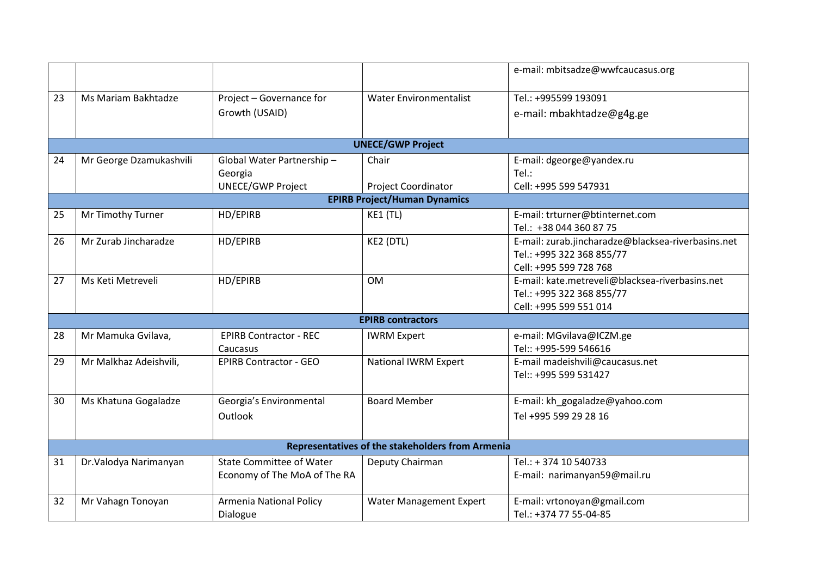|    |                                                  |                                 |                               | e-mail: mbitsadze@wwfcaucasus.org                  |  |  |
|----|--------------------------------------------------|---------------------------------|-------------------------------|----------------------------------------------------|--|--|
| 23 | Ms Mariam Bakhtadze                              | Project - Governance for        | <b>Water Environmentalist</b> | Tel.: +995599 193091                               |  |  |
|    |                                                  | Growth (USAID)                  |                               | e-mail: mbakhtadze@g4g.ge                          |  |  |
|    |                                                  |                                 |                               |                                                    |  |  |
|    |                                                  |                                 | <b>UNECE/GWP Project</b>      |                                                    |  |  |
| 24 | Mr George Dzamukashvili                          | Global Water Partnership-       | Chair                         | E-mail: dgeorge@yandex.ru                          |  |  |
|    |                                                  | Georgia                         |                               | Tel.:                                              |  |  |
|    |                                                  | <b>UNECE/GWP Project</b>        | <b>Project Coordinator</b>    | Cell: +995 599 547931                              |  |  |
|    | <b>EPIRB Project/Human Dynamics</b>              |                                 |                               |                                                    |  |  |
| 25 | Mr Timothy Turner                                | HD/EPIRB                        | KE1 (TL)                      | E-mail: trturner@btinternet.com                    |  |  |
|    |                                                  |                                 |                               | Tel.: +38 044 360 87 75                            |  |  |
| 26 | Mr Zurab Jincharadze                             | HD/EPIRB                        | KE2 (DTL)                     | E-mail: zurab.jincharadze@blacksea-riverbasins.net |  |  |
|    |                                                  |                                 |                               | Tel.: +995 322 368 855/77                          |  |  |
|    |                                                  |                                 |                               | Cell: +995 599 728 768                             |  |  |
| 27 | Ms Keti Metreveli                                | HD/EPIRB                        | <b>OM</b>                     | E-mail: kate.metreveli@blacksea-riverbasins.net    |  |  |
|    |                                                  |                                 |                               | Tel.: +995 322 368 855/77                          |  |  |
|    |                                                  |                                 |                               | Cell: +995 599 551 014                             |  |  |
|    |                                                  |                                 | <b>EPIRB contractors</b>      |                                                    |  |  |
| 28 | Mr Mamuka Gvilava,                               | <b>EPIRB Contractor - REC</b>   | <b>IWRM Expert</b>            | e-mail: MGvilava@ICZM.ge                           |  |  |
|    |                                                  | Caucasus                        |                               | Tel:: +995-599 546616                              |  |  |
| 29 | Mr Malkhaz Adeishvili,                           | <b>EPIRB Contractor - GEO</b>   | <b>National IWRM Expert</b>   | E-mail madeishvili@caucasus.net                    |  |  |
|    |                                                  |                                 |                               | Tel:: +995 599 531427                              |  |  |
|    |                                                  |                                 |                               |                                                    |  |  |
| 30 | Ms Khatuna Gogaladze                             | Georgia's Environmental         | <b>Board Member</b>           | E-mail: kh_gogaladze@yahoo.com                     |  |  |
|    |                                                  | Outlook                         |                               | Tel +995 599 29 28 16                              |  |  |
|    |                                                  |                                 |                               |                                                    |  |  |
|    | Representatives of the stakeholders from Armenia |                                 |                               |                                                    |  |  |
| 31 | Dr. Valodya Narimanyan                           | <b>State Committee of Water</b> | Deputy Chairman               | Tel.: + 374 10 540733                              |  |  |
|    |                                                  | Economy of The MoA of The RA    |                               | E-mail: narimanyan59@mail.ru                       |  |  |
|    |                                                  |                                 |                               |                                                    |  |  |
| 32 | Mr Vahagn Tonoyan                                | <b>Armenia National Policy</b>  | Water Management Expert       | E-mail: vrtonoyan@gmail.com                        |  |  |
|    |                                                  | Dialogue                        |                               | Tel.: +374 77 55-04-85                             |  |  |